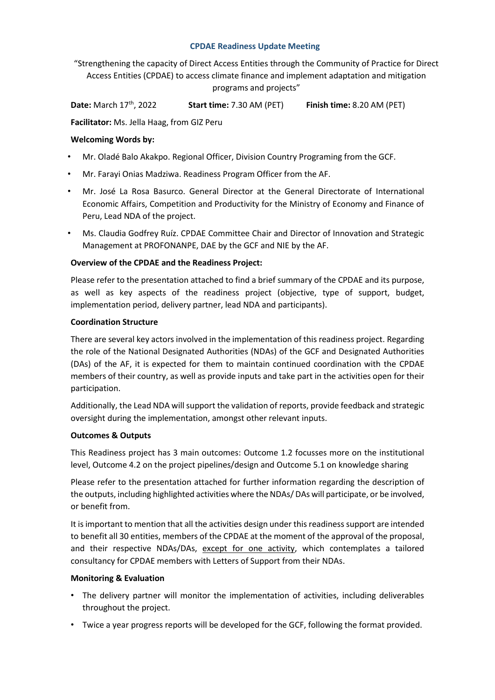#### **CPDAE Readiness Update Meeting**

"Strengthening the capacity of Direct Access Entities through the Community of Practice for Direct Access Entities (CPDAE) to access climate finance and implement adaptation and mitigation programs and projects"

**Date:** March 17<sup>th</sup>, 2022 **Start time:** 7.30 AM (PET) **Finish time:** 8.20 AM (PET)

**Facilitator:** Ms. Jella Haag, from GIZ Peru

# **Welcoming Words by:**

- Mr. Oladé Balo Akakpo. Regional Officer, Division Country Programing from the GCF.
- Mr. Farayi Onias Madziwa. Readiness Program Officer from the AF.
- Mr. José La Rosa Basurco. General Director at the General Directorate of International Economic Affairs, Competition and Productivity for the Ministry of Economy and Finance of Peru, Lead NDA of the project.
- Ms. Claudia Godfrey Ruíz. CPDAE Committee Chair and Director of Innovation and Strategic Management at PROFONANPE, DAE by the GCF and NIE by the AF.

# **Overview of the CPDAE and the Readiness Project:**

Please refer to the presentation attached to find a brief summary of the CPDAE and its purpose, as well as key aspects of the readiness project (objective, type of support, budget, implementation period, delivery partner, lead NDA and participants).

#### **Coordination Structure**

There are several key actors involved in the implementation of this readiness project. Regarding the role of the National Designated Authorities (NDAs) of the GCF and Designated Authorities (DAs) of the AF, it is expected for them to maintain continued coordination with the CPDAE members of their country, as well as provide inputs and take part in the activities open for their participation.

Additionally, the Lead NDA will support the validation of reports, provide feedback and strategic oversight during the implementation, amongst other relevant inputs.

# **Outcomes & Outputs**

This Readiness project has 3 main outcomes: Outcome 1.2 focusses more on the institutional level, Outcome 4.2 on the project pipelines/design and Outcome 5.1 on knowledge sharing

Please refer to the presentation attached for further information regarding the description of the outputs, including highlighted activities where the NDAs/ DAs will participate, or be involved, or benefit from.

It is important to mention that all the activities design under this readiness support are intended to benefit all 30 entities, members of the CPDAE at the moment of the approval of the proposal, and their respective NDAs/DAs, except for one activity, which contemplates a tailored consultancy for CPDAE members with Letters of Support from their NDAs.

# **Monitoring & Evaluation**

- The delivery partner will monitor the implementation of activities, including deliverables throughout the project.
- Twice a year progress reports will be developed for the GCF, following the format provided.